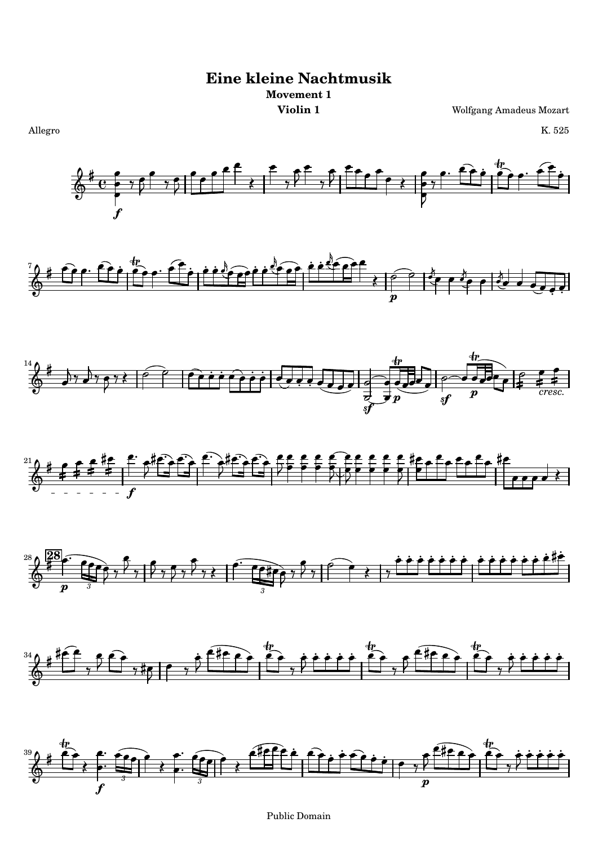## **Violin 1** Wolfgang Amadeus Mozart **Movement 1 Eine kleine Nachtmusik**



Public Domain

Allegro K. 525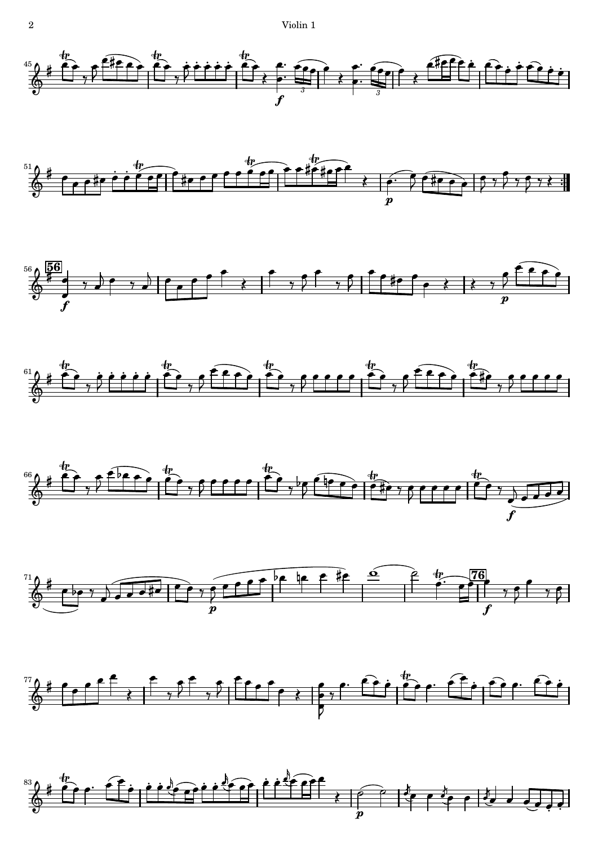